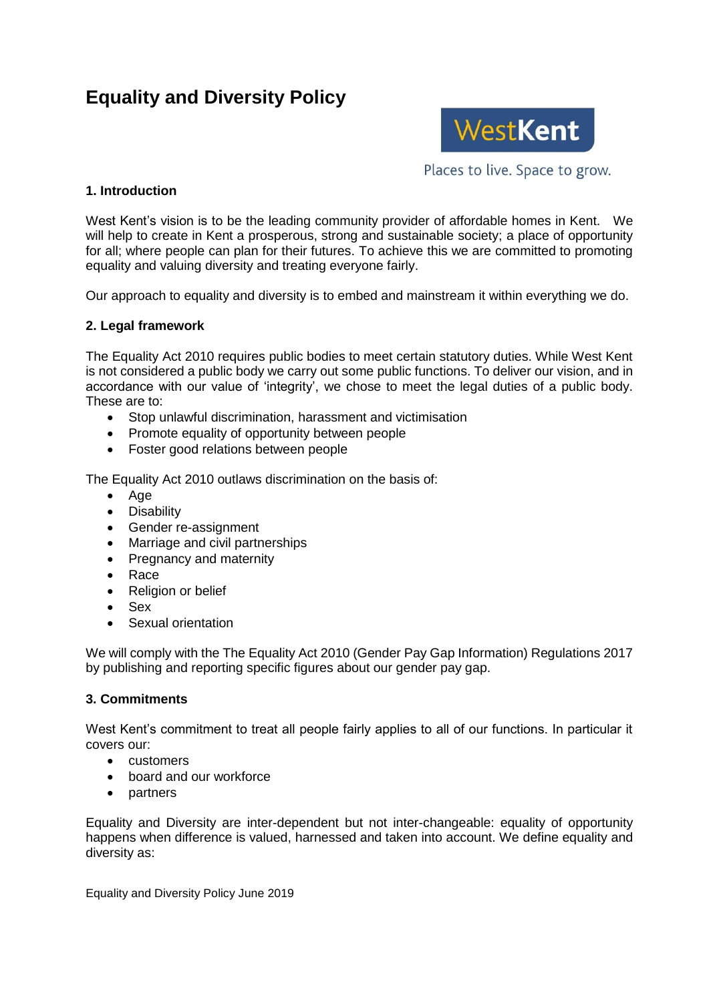# **Equality and Diversity Policy**



Places to live. Space to grow.

## **1. Introduction**

West Kent's vision is to be the leading community provider of affordable homes in Kent. We will help to create in Kent a prosperous, strong and sustainable society; a place of opportunity for all; where people can plan for their futures. To achieve this we are committed to promoting equality and valuing diversity and treating everyone fairly.

Our approach to equality and diversity is to embed and mainstream it within everything we do.

#### **2. Legal framework**

The Equality Act 2010 requires public bodies to meet certain statutory duties. While West Kent is not considered a public body we carry out some public functions. To deliver our vision, and in accordance with our value of 'integrity', we chose to meet the legal duties of a public body. These are to:

- Stop unlawful discrimination, harassment and victimisation
- Promote equality of opportunity between people
- Foster good relations between people

The Equality Act 2010 outlaws discrimination on the basis of:

- Age
- Disability
- Gender re-assignment
- Marriage and civil partnerships
- Pregnancy and maternity
- Race
- Religion or belief
- Sex
- Sexual orientation

We will comply with the The Equality Act 2010 (Gender Pay Gap Information) Regulations 2017 by publishing and reporting specific figures about our gender pay gap.

### **3. Commitments**

West Kent's commitment to treat all people fairly applies to all of our functions. In particular it covers our:

- customers
- board and our workforce
- partners

Equality and Diversity are inter-dependent but not inter-changeable: equality of opportunity happens when difference is valued, harnessed and taken into account. We define equality and diversity as:

Equality and Diversity Policy June 2019